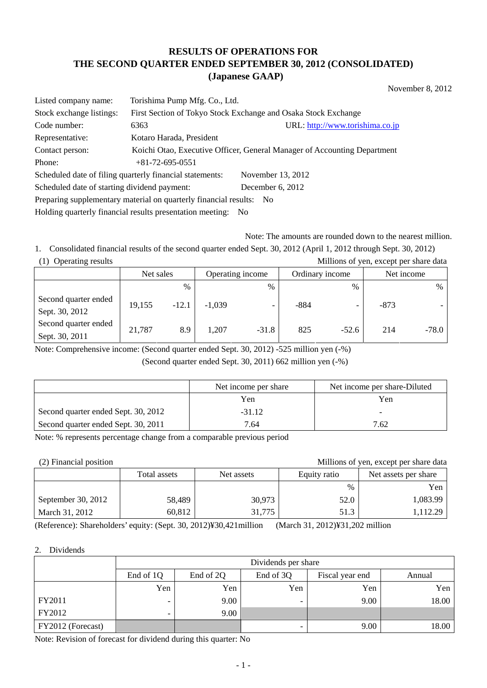# **RESULTS OF OPERATIONS FOR THE SECOND QUARTER ENDED SEPTEMBER 30, 2012 (CONSOLIDATED) (Japanese GAAP)**

November 8, 2012

| Listed company name:                                                | Torishima Pump Mfg. Co., Ltd.                                  |                                                                          |  |  |
|---------------------------------------------------------------------|----------------------------------------------------------------|--------------------------------------------------------------------------|--|--|
| Stock exchange listings:                                            | First Section of Tokyo Stock Exchange and Osaka Stock Exchange |                                                                          |  |  |
| Code number:                                                        | 6363                                                           | URL: http://www.torishima.co.jp                                          |  |  |
| Representative:                                                     | Kotaro Harada, President                                       |                                                                          |  |  |
| Contact person:                                                     |                                                                | Koichi Otao, Executive Officer, General Manager of Accounting Department |  |  |
| Phone:                                                              | $+81-72-695-0551$                                              |                                                                          |  |  |
|                                                                     | Scheduled date of filing quarterly financial statements:       | November 13, 2012                                                        |  |  |
| Scheduled date of starting dividend payment:                        |                                                                | December $6, 2012$                                                       |  |  |
| Preparing supplementary material on quarterly financial results: No |                                                                |                                                                          |  |  |

Holding quarterly financial results presentation meeting: No

Note: The amounts are rounded down to the nearest million.

1. Consolidated financial results of the second quarter ended Sept. 30, 2012 (April 1, 2012 through Sept. 30, 2012) (1) Operating results Millions of yen, except per share data

|                                        | Net sales |               | Operating income |         | Ordinary income |                          | Net income |       |
|----------------------------------------|-----------|---------------|------------------|---------|-----------------|--------------------------|------------|-------|
|                                        |           | $\frac{0}{0}$ |                  | $\%$    |                 | $\frac{0}{0}$            |            | $\%$  |
| Second quarter ended<br>Sept. 30, 2012 | 19,155    | $-12.1$       | $-1,039$         | -       | $-884$          | $\overline{\phantom{0}}$ | $-873$     |       |
| Second quarter ended<br>Sept. 30, 2011 | 21,787    | 8.9           | 1,207            | $-31.8$ | 825             | $-52.6$                  | 214        | -78.0 |

Note: Comprehensive income: (Second quarter ended Sept. 30, 2012) -525 million yen (-%)

(Second quarter ended Sept. 30, 2011) 662 million yen (-%)

|                                     | Net income per share | Net income per share-Diluted |
|-------------------------------------|----------------------|------------------------------|
|                                     | Yen                  | Yen                          |
| Second quarter ended Sept. 30, 2012 | $-31.12$             |                              |
| Second quarter ended Sept. 30, 2011 | 7.64                 | 7.62                         |

Note: % represents percentage change from a comparable previous period

(2) Financial position Millions of yen, except per share data

|                    | Total assets<br>Net assets |        | Equity ratio | Net assets per share |  |
|--------------------|----------------------------|--------|--------------|----------------------|--|
|                    |                            |        | $\%$         | Yen                  |  |
| September 30, 2012 | 58,489                     | 30,973 | 52.0         | 1,083.99             |  |
| March 31, 2012     | 60,812                     | 31,775 | 51.3         | ,112.29              |  |

(Reference): Shareholders' equity: (Sept. 30, 2012)¥30,421million (March 31, 2012)¥31,202 million

#### 2. Dividends

|                   | Dividends per share      |                                                     |     |      |       |  |  |  |
|-------------------|--------------------------|-----------------------------------------------------|-----|------|-------|--|--|--|
|                   | End of 1Q                | End of 3Q<br>End of 2Q<br>Fiscal year end<br>Annual |     |      |       |  |  |  |
|                   | Yen                      | Yen                                                 | Yen | Yen  | Yen   |  |  |  |
| FY2011            | $\overline{\phantom{0}}$ | 9.00                                                |     | 9.00 | 18.00 |  |  |  |
| FY2012            | -                        | 9.00                                                |     |      |       |  |  |  |
| FY2012 (Forecast) |                          |                                                     |     | 9.00 | 18.00 |  |  |  |

Note: Revision of forecast for dividend during this quarter: No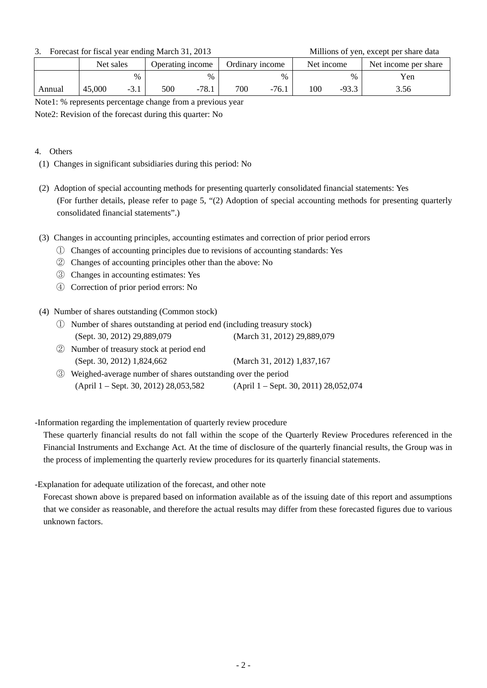3. Forecast for fiscal year ending March 31, 2013 Millions of yen, except per share data

|        | Net sales |        | Operating income |           | Ordinary income |         | Net income |         | Net income per share |  |
|--------|-----------|--------|------------------|-----------|-----------------|---------|------------|---------|----------------------|--|
|        |           | $\%$   |                  | $\%$      |                 | $\%$    |            | %       | Yen                  |  |
| Annual | 45,000    | $-3.1$ | 500              | 78.1<br>- | 700             | $-76.1$ | 100        | $-93.3$ | 3.56                 |  |

Note1: % represents percentage change from a previous year

Note2: Revision of the forecast during this quarter: No

### 4. Others

- (1) Changes in significant subsidiaries during this period: No
- (2) Adoption of special accounting methods for presenting quarterly consolidated financial statements: Yes (For further details, please refer to page 5, "(2) Adoption of special accounting methods for presenting quarterly consolidated financial statements".)
- (3) Changes in accounting principles, accounting estimates and correction of prior period errors
	- ① Changes of accounting principles due to revisions of accounting standards: Yes
	- ② Changes of accounting principles other than the above: No
	- ③ Changes in accounting estimates: Yes
	- ④ Correction of prior period errors: No

(4) Number of shares outstanding (Common stock)

- ① Number of shares outstanding at period end (including treasury stock) (Sept. 30, 2012) 29,889,079 (March 31, 2012) 29,889,079
- ② Number of treasury stock at period end (Sept. 30, 2012) 1,824,662 (March 31, 2012) 1,837,167
- ③ Weighed-average number of shares outstanding over the period (April 1 – Sept. 30, 2012) 28,053,582 (April 1 – Sept. 30, 2011) 28,052,074

-Information regarding the implementation of quarterly review procedure

 These quarterly financial results do not fall within the scope of the Quarterly Review Procedures referenced in the Financial Instruments and Exchange Act. At the time of disclosure of the quarterly financial results, the Group was in the process of implementing the quarterly review procedures for its quarterly financial statements.

-Explanation for adequate utilization of the forecast, and other note

 Forecast shown above is prepared based on information available as of the issuing date of this report and assumptions that we consider as reasonable, and therefore the actual results may differ from these forecasted figures due to various unknown factors.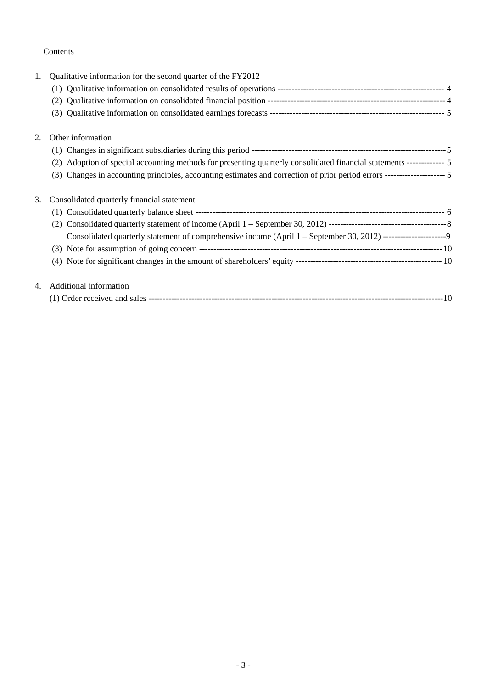## Contents

| 1. | Qualitative information for the second quarter of the FY2012                                                             |  |
|----|--------------------------------------------------------------------------------------------------------------------------|--|
|    |                                                                                                                          |  |
|    | (2)                                                                                                                      |  |
|    | (3)                                                                                                                      |  |
| 2. | Other information                                                                                                        |  |
|    |                                                                                                                          |  |
|    | Adoption of special accounting methods for presenting quarterly consolidated financial statements ------------- 5<br>(2) |  |
|    | (3) Changes in accounting principles, accounting estimates and correction of prior period errors --------------------- 5 |  |
| 3. | Consolidated quarterly financial statement                                                                               |  |
|    |                                                                                                                          |  |
|    |                                                                                                                          |  |
|    | Consolidated quarterly statement of comprehensive income (April 1 – September 30, 2012) ----------------------9          |  |
|    |                                                                                                                          |  |
|    |                                                                                                                          |  |
| 4. | Additional information                                                                                                   |  |
|    |                                                                                                                          |  |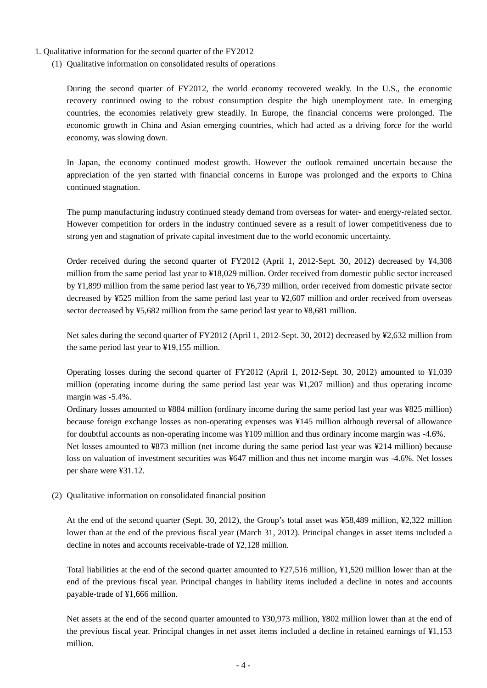#### 1. Qualitative information for the second quarter of the FY2012

(1) Qualitative information on consolidated results of operations

During the second quarter of FY2012, the world economy recovered weakly. In the U.S., the economic recovery continued owing to the robust consumption despite the high unemployment rate. In emerging countries, the economies relatively grew steadily. In Europe, the financial concerns were prolonged. The economic growth in China and Asian emerging countries, which had acted as a driving force for the world economy, was slowing down.

In Japan, the economy continued modest growth. However the outlook remained uncertain because the appreciation of the yen started with financial concerns in Europe was prolonged and the exports to China continued stagnation.

The pump manufacturing industry continued steady demand from overseas for water- and energy-related sector. However competition for orders in the industry continued severe as a result of lower competitiveness due to strong yen and stagnation of private capital investment due to the world economic uncertainty.

Order received during the second quarter of FY2012 (April 1, 2012-Sept. 30, 2012) decreased by ¥4,308 million from the same period last year to ¥18,029 million. Order received from domestic public sector increased by ¥1,899 million from the same period last year to ¥6,739 million, order received from domestic private sector decreased by ¥525 million from the same period last year to ¥2,607 million and order received from overseas sector decreased by ¥5,682 million from the same period last year to ¥8,681 million.

Net sales during the second quarter of FY2012 (April 1, 2012-Sept. 30, 2012) decreased by ¥2,632 million from the same period last year to ¥19,155 million.

Operating losses during the second quarter of FY2012 (April 1, 2012-Sept. 30, 2012) amounted to ¥1,039 million (operating income during the same period last year was ¥1,207 million) and thus operating income margin was -5.4%.

Ordinary losses amounted to ¥884 million (ordinary income during the same period last year was ¥825 million) because foreign exchange losses as non-operating expenses was ¥145 million although reversal of allowance for doubtful accounts as non-operating income was ¥109 million and thus ordinary income margin was -4.6%. Net losses amounted to ¥873 million (net income during the same period last year was ¥214 million) because loss on valuation of investment securities was ¥647 million and thus net income margin was -4.6%. Net losses

per share were ¥31.12.

(2) Qualitative information on consolidated financial position

At the end of the second quarter (Sept. 30, 2012), the Group's total asset was ¥58,489 million, ¥2,322 million lower than at the end of the previous fiscal year (March 31, 2012). Principal changes in asset items included a decline in notes and accounts receivable-trade of ¥2,128 million.

Total liabilities at the end of the second quarter amounted to ¥27,516 million, ¥1,520 million lower than at the end of the previous fiscal year. Principal changes in liability items included a decline in notes and accounts payable-trade of ¥1,666 million.

Net assets at the end of the second quarter amounted to ¥30,973 million, ¥802 million lower than at the end of the previous fiscal year. Principal changes in net asset items included a decline in retained earnings of ¥1,153 million.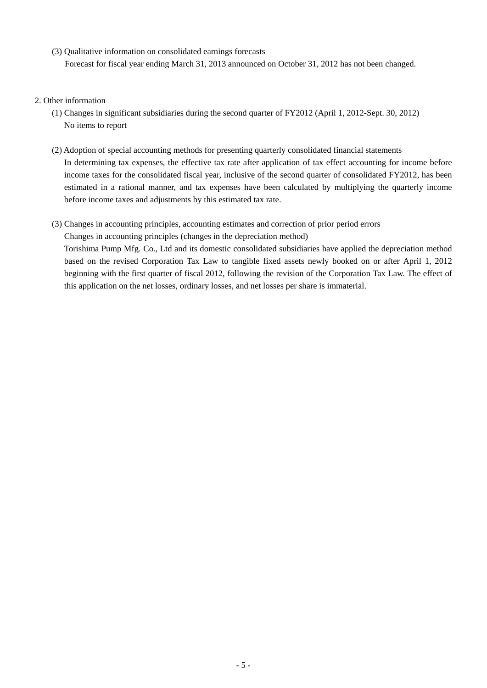(3) Qualitative information on consolidated earnings forecasts Forecast for fiscal year ending March 31, 2013 announced on October 31, 2012 has not been changed.

### 2. Other information

- (1) Changes in significant subsidiaries during the second quarter of FY2012 (April 1, 2012-Sept. 30, 2012) No items to report
- (2) Adoption of special accounting methods for presenting quarterly consolidated financial statements In determining tax expenses, the effective tax rate after application of tax effect accounting for income before income taxes for the consolidated fiscal year, inclusive of the second quarter of consolidated FY2012, has been estimated in a rational manner, and tax expenses have been calculated by multiplying the quarterly income before income taxes and adjustments by this estimated tax rate.

### (3) Changes in accounting principles, accounting estimates and correction of prior period errors

Changes in accounting principles (changes in the depreciation method)

Torishima Pump Mfg. Co., Ltd and its domestic consolidated subsidiaries have applied the depreciation method based on the revised Corporation Tax Law to tangible fixed assets newly booked on or after April 1, 2012 beginning with the first quarter of fiscal 2012, following the revision of the Corporation Tax Law. The effect of this application on the net losses, ordinary losses, and net losses per share is immaterial.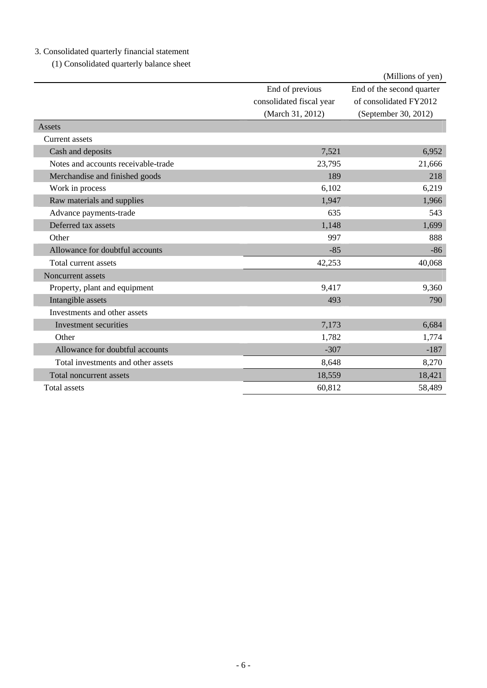# 3. Consolidated quarterly financial statement

(1) Consolidated quarterly balance sheet

|                                     |                                                                 | (Millions of yen)                                                           |
|-------------------------------------|-----------------------------------------------------------------|-----------------------------------------------------------------------------|
|                                     | End of previous<br>consolidated fiscal year<br>(March 31, 2012) | End of the second quarter<br>of consolidated FY2012<br>(September 30, 2012) |
| Assets                              |                                                                 |                                                                             |
| Current assets                      |                                                                 |                                                                             |
| Cash and deposits                   | 7,521                                                           | 6,952                                                                       |
| Notes and accounts receivable-trade | 23,795                                                          | 21,666                                                                      |
| Merchandise and finished goods      | 189                                                             | 218                                                                         |
| Work in process                     | 6,102                                                           | 6,219                                                                       |
| Raw materials and supplies          | 1,947                                                           | 1,966                                                                       |
| Advance payments-trade              | 635                                                             | 543                                                                         |
| Deferred tax assets                 | 1,148                                                           | 1,699                                                                       |
| Other                               | 997                                                             | 888                                                                         |
| Allowance for doubtful accounts     | $-85$                                                           | $-86$                                                                       |
| Total current assets                | 42,253                                                          | 40,068                                                                      |
| Noncurrent assets                   |                                                                 |                                                                             |
| Property, plant and equipment       | 9,417                                                           | 9,360                                                                       |
| Intangible assets                   | 493                                                             | 790                                                                         |
| Investments and other assets        |                                                                 |                                                                             |
| Investment securities               | 7,173                                                           | 6,684                                                                       |
| Other                               | 1,782                                                           | 1,774                                                                       |
| Allowance for doubtful accounts     | $-307$                                                          | $-187$                                                                      |
| Total investments and other assets  | 8,648                                                           | 8,270                                                                       |
| Total noncurrent assets             | 18,559                                                          | 18,421                                                                      |
| Total assets                        | 60,812                                                          | 58,489                                                                      |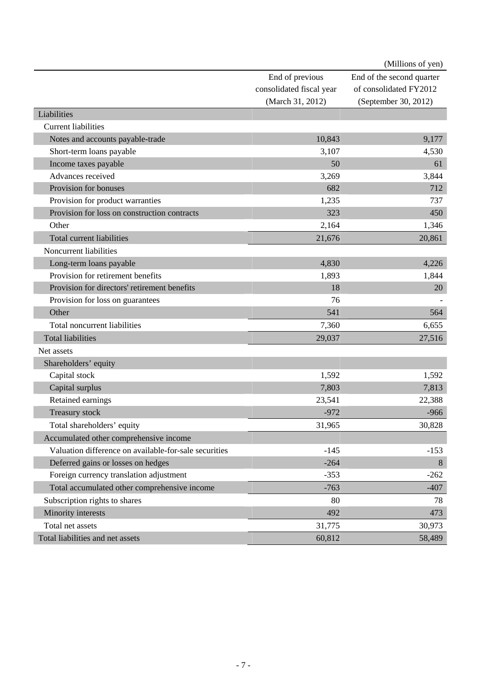|                                                       |                          | (Millions of yen)         |
|-------------------------------------------------------|--------------------------|---------------------------|
|                                                       | End of previous          | End of the second quarter |
|                                                       | consolidated fiscal year | of consolidated FY2012    |
|                                                       | (March 31, 2012)         | (September 30, 2012)      |
| Liabilities                                           |                          |                           |
| <b>Current liabilities</b>                            |                          |                           |
| Notes and accounts payable-trade                      | 10,843                   | 9,177                     |
| Short-term loans payable                              | 3,107                    | 4,530                     |
| Income taxes payable                                  | 50                       | 61                        |
| Advances received                                     | 3,269                    | 3,844                     |
| Provision for bonuses                                 | 682                      | 712                       |
| Provision for product warranties                      | 1,235                    | 737                       |
| Provision for loss on construction contracts          | 323                      | 450                       |
| Other                                                 | 2,164                    | 1,346                     |
| <b>Total current liabilities</b>                      | 21,676                   | 20,861                    |
| Noncurrent liabilities                                |                          |                           |
| Long-term loans payable                               | 4,830                    | 4,226                     |
| Provision for retirement benefits                     | 1,893                    | 1,844                     |
| Provision for directors' retirement benefits          | 18                       | 20                        |
| Provision for loss on guarantees                      | 76                       |                           |
| Other                                                 | 541                      | 564                       |
| Total noncurrent liabilities                          | 7,360                    | 6,655                     |
| <b>Total liabilities</b>                              | 29,037                   | 27,516                    |
| Net assets                                            |                          |                           |
| Shareholders' equity                                  |                          |                           |
| Capital stock                                         | 1,592                    | 1,592                     |
| Capital surplus                                       | 7,803                    | 7,813                     |
| Retained earnings                                     | 23,541                   | 22,388                    |
| <b>Treasury stock</b>                                 | $-972$                   | $-966$                    |
| Total shareholders' equity                            | 31,965                   | 30,828                    |
| Accumulated other comprehensive income                |                          |                           |
| Valuation difference on available-for-sale securities | $-145$                   | $-153$                    |
| Deferred gains or losses on hedges                    | $-264$                   | 8                         |
| Foreign currency translation adjustment               | $-353$                   | $-262$                    |
| Total accumulated other comprehensive income          | $-763$                   | $-407$                    |
| Subscription rights to shares                         | 80                       | 78                        |
| Minority interests                                    | 492                      | 473                       |
| Total net assets                                      | 31,775                   | 30,973                    |
| Total liabilities and net assets                      | 60,812                   | 58,489                    |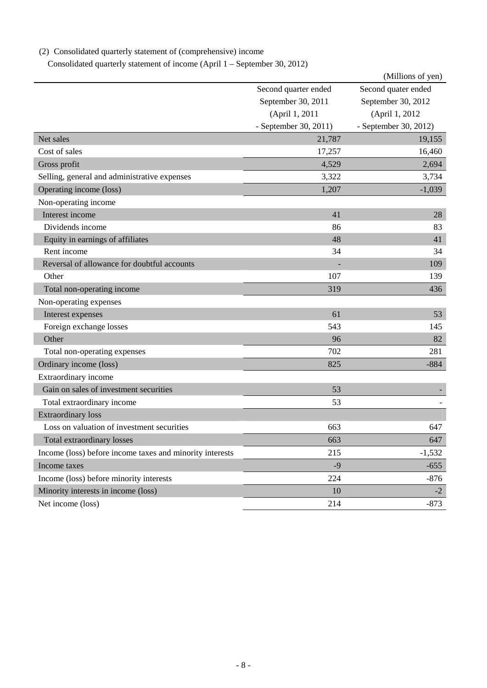|                                                          |                       | (Millions of yen)     |
|----------------------------------------------------------|-----------------------|-----------------------|
|                                                          | Second quarter ended  | Second quater ended   |
|                                                          | September 30, 2011    | September 30, 2012    |
|                                                          | (April 1, 2011        | (April 1, 2012)       |
|                                                          | - September 30, 2011) | - September 30, 2012) |
| Net sales                                                | 21,787                | 19,155                |
| Cost of sales                                            | 17,257                | 16,460                |
| Gross profit                                             | 4,529                 | 2,694                 |
| Selling, general and administrative expenses             | 3,322                 | 3,734                 |
| Operating income (loss)                                  | 1,207                 | $-1,039$              |
| Non-operating income                                     |                       |                       |
| Interest income                                          | 41                    | 28                    |
| Dividends income                                         | 86                    | 83                    |
| Equity in earnings of affiliates                         | 48                    | 41                    |
| Rent income                                              | 34                    | 34                    |
| Reversal of allowance for doubtful accounts              |                       | 109                   |
| Other                                                    | 107                   | 139                   |
| Total non-operating income                               | 319                   | 436                   |
| Non-operating expenses                                   |                       |                       |
| Interest expenses                                        | 61                    | 53                    |
| Foreign exchange losses                                  | 543                   | 145                   |
| Other                                                    | 96                    | 82                    |
| Total non-operating expenses                             | 702                   | 281                   |
| Ordinary income (loss)                                   | 825                   | $-884$                |
| Extraordinary income                                     |                       |                       |
| Gain on sales of investment securities                   | 53                    |                       |
| Total extraordinary income                               | 53                    |                       |
| <b>Extraordinary loss</b>                                |                       |                       |
| Loss on valuation of investment securities               | 663                   | 647                   |
| Total extraordinary losses                               | 663                   | 647                   |
| Income (loss) before income taxes and minority interests | 215                   | $-1,532$              |
| Income taxes                                             | $-9$                  | $-655$                |
| Income (loss) before minority interests                  | 224                   | $-876$                |
| Minority interests in income (loss)                      | 10                    | $-2$                  |
| Net income (loss)                                        | 214                   | $-873$                |

# (2) Consolidated quarterly statement of (comprehensive) income

Consolidated quarterly statement of income (April 1 – September 30, 2012)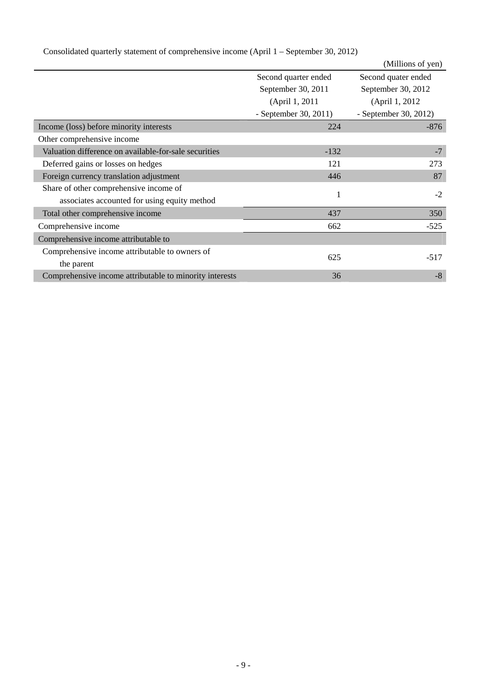|                                                         |                       | (Millions of yen)     |
|---------------------------------------------------------|-----------------------|-----------------------|
|                                                         | Second quarter ended  | Second quater ended   |
|                                                         | September 30, 2011    | September 30, 2012    |
|                                                         | (April 1, 2011        | (April 1, 2012)       |
|                                                         | - September 30, 2011) | - September 30, 2012) |
| Income (loss) before minority interests                 | 224                   | $-876$                |
| Other comprehensive income                              |                       |                       |
| Valuation difference on available-for-sale securities   | $-132$                | $-7$                  |
| Deferred gains or losses on hedges                      | 121                   | 273                   |
| Foreign currency translation adjustment                 | 446                   | 87                    |
| Share of other comprehensive income of                  | 1                     | $-2$                  |
| associates accounted for using equity method            |                       |                       |
| Total other comprehensive income                        | 437                   | 350                   |
| Comprehensive income                                    | 662                   | $-525$                |
| Comprehensive income attributable to                    |                       |                       |
| Comprehensive income attributable to owners of          |                       |                       |
| the parent                                              | 625                   | $-517$                |
| Comprehensive income attributable to minority interests | 36                    | $-8$                  |